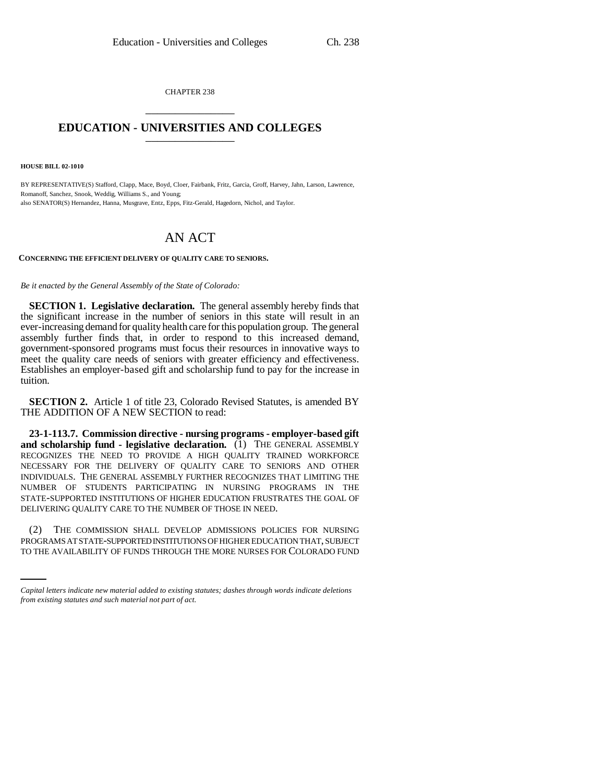CHAPTER 238 \_\_\_\_\_\_\_\_\_\_\_\_\_\_\_

## **EDUCATION - UNIVERSITIES AND COLLEGES** \_\_\_\_\_\_\_\_\_\_\_\_\_\_\_

**HOUSE BILL 02-1010**

BY REPRESENTATIVE(S) Stafford, Clapp, Mace, Boyd, Cloer, Fairbank, Fritz, Garcia, Groff, Harvey, Jahn, Larson, Lawrence, Romanoff, Sanchez, Snook, Weddig, Williams S., and Young; also SENATOR(S) Hernandez, Hanna, Musgrave, Entz, Epps, Fitz-Gerald, Hagedorn, Nichol, and Taylor.

## AN ACT

## **CONCERNING THE EFFICIENT DELIVERY OF QUALITY CARE TO SENIORS.**

## *Be it enacted by the General Assembly of the State of Colorado:*

**SECTION 1. Legislative declaration.** The general assembly hereby finds that the significant increase in the number of seniors in this state will result in an ever-increasing demand for quality health care for this population group. The general assembly further finds that, in order to respond to this increased demand, government-sponsored programs must focus their resources in innovative ways to meet the quality care needs of seniors with greater efficiency and effectiveness. Establishes an employer-based gift and scholarship fund to pay for the increase in tuition.

**SECTION 2.** Article 1 of title 23, Colorado Revised Statutes, is amended BY THE ADDITION OF A NEW SECTION to read:

**23-1-113.7. Commission directive - nursing programs - employer-based gift and scholarship fund - legislative declaration.** (1) THE GENERAL ASSEMBLY RECOGNIZES THE NEED TO PROVIDE A HIGH QUALITY TRAINED WORKFORCE NECESSARY FOR THE DELIVERY OF QUALITY CARE TO SENIORS AND OTHER INDIVIDUALS. THE GENERAL ASSEMBLY FURTHER RECOGNIZES THAT LIMITING THE NUMBER OF STUDENTS PARTICIPATING IN NURSING PROGRAMS IN THE STATE-SUPPORTED INSTITUTIONS OF HIGHER EDUCATION FRUSTRATES THE GOAL OF DELIVERING QUALITY CARE TO THE NUMBER OF THOSE IN NEED.

(2) THE COMMISSION SHALL DEVELOP ADMISSIONS POLICIES FOR NURSING PROGRAMS AT STATE-SUPPORTED INSTITUTIONS OF HIGHER EDUCATION THAT, SUBJECT TO THE AVAILABILITY OF FUNDS THROUGH THE MORE NURSES FOR COLORADO FUND

*Capital letters indicate new material added to existing statutes; dashes through words indicate deletions from existing statutes and such material not part of act.*